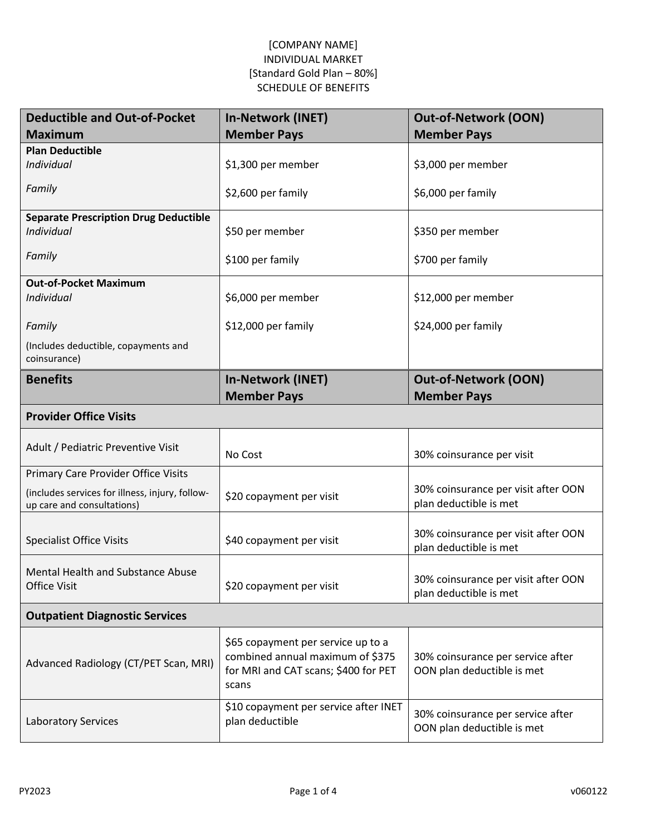| <b>Deductible and Out-of-Pocket</b>                                           | <b>In-Network (INET)</b>                                                                                                | <b>Out-of-Network (OON)</b>                                     |
|-------------------------------------------------------------------------------|-------------------------------------------------------------------------------------------------------------------------|-----------------------------------------------------------------|
| <b>Maximum</b>                                                                | <b>Member Pays</b>                                                                                                      | <b>Member Pays</b>                                              |
| <b>Plan Deductible</b><br><b>Individual</b>                                   | \$1,300 per member                                                                                                      | \$3,000 per member                                              |
| Family                                                                        | \$2,600 per family                                                                                                      | \$6,000 per family                                              |
| <b>Separate Prescription Drug Deductible</b><br>Individual                    | \$50 per member                                                                                                         | \$350 per member                                                |
| Family                                                                        | \$100 per family                                                                                                        | \$700 per family                                                |
| <b>Out-of-Pocket Maximum</b><br>Individual                                    | \$6,000 per member                                                                                                      | \$12,000 per member                                             |
| Family                                                                        | \$12,000 per family                                                                                                     | \$24,000 per family                                             |
| (Includes deductible, copayments and<br>coinsurance)                          |                                                                                                                         |                                                                 |
| <b>Benefits</b>                                                               | <b>In-Network (INET)</b><br><b>Member Pays</b>                                                                          | <b>Out-of-Network (OON)</b><br><b>Member Pays</b>               |
| <b>Provider Office Visits</b>                                                 |                                                                                                                         |                                                                 |
| Adult / Pediatric Preventive Visit                                            | No Cost                                                                                                                 | 30% coinsurance per visit                                       |
| Primary Care Provider Office Visits                                           |                                                                                                                         |                                                                 |
| (includes services for illness, injury, follow-<br>up care and consultations) | \$20 copayment per visit                                                                                                | 30% coinsurance per visit after OON<br>plan deductible is met   |
| <b>Specialist Office Visits</b>                                               | \$40 copayment per visit                                                                                                | 30% coinsurance per visit after OON<br>plan deductible is met   |
| Mental Health and Substance Abuse<br><b>Office Visit</b>                      | \$20 copayment per visit                                                                                                | 30% coinsurance per visit after OON<br>plan deductible is met   |
| <b>Outpatient Diagnostic Services</b>                                         |                                                                                                                         |                                                                 |
| Advanced Radiology (CT/PET Scan, MRI)                                         | \$65 copayment per service up to a<br>combined annual maximum of \$375<br>for MRI and CAT scans; \$400 for PET<br>scans | 30% coinsurance per service after<br>OON plan deductible is met |
| <b>Laboratory Services</b>                                                    | \$10 copayment per service after INET<br>plan deductible                                                                | 30% coinsurance per service after<br>OON plan deductible is met |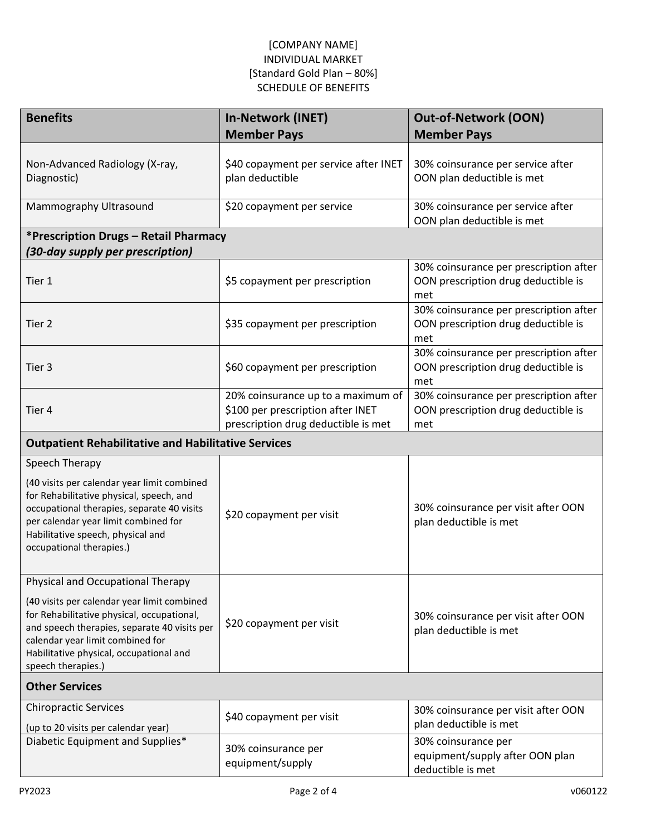| <b>Benefits</b>                                                                                                                                                                                                                                | In-Network (INET)                                                                                              | <b>Out-of-Network (OON)</b>                                                          |  |  |
|------------------------------------------------------------------------------------------------------------------------------------------------------------------------------------------------------------------------------------------------|----------------------------------------------------------------------------------------------------------------|--------------------------------------------------------------------------------------|--|--|
|                                                                                                                                                                                                                                                | <b>Member Pays</b>                                                                                             | <b>Member Pays</b>                                                                   |  |  |
| Non-Advanced Radiology (X-ray,<br>Diagnostic)                                                                                                                                                                                                  | \$40 copayment per service after INET<br>plan deductible                                                       | 30% coinsurance per service after<br>OON plan deductible is met                      |  |  |
| Mammography Ultrasound                                                                                                                                                                                                                         | \$20 copayment per service                                                                                     | 30% coinsurance per service after<br>OON plan deductible is met                      |  |  |
| *Prescription Drugs - Retail Pharmacy<br>(30-day supply per prescription)                                                                                                                                                                      |                                                                                                                |                                                                                      |  |  |
| Tier 1                                                                                                                                                                                                                                         | \$5 copayment per prescription                                                                                 | 30% coinsurance per prescription after<br>OON prescription drug deductible is<br>met |  |  |
| Tier <sub>2</sub>                                                                                                                                                                                                                              | \$35 copayment per prescription                                                                                | 30% coinsurance per prescription after<br>OON prescription drug deductible is<br>met |  |  |
| Tier 3                                                                                                                                                                                                                                         | \$60 copayment per prescription                                                                                | 30% coinsurance per prescription after<br>OON prescription drug deductible is<br>met |  |  |
| Tier 4                                                                                                                                                                                                                                         | 20% coinsurance up to a maximum of<br>\$100 per prescription after INET<br>prescription drug deductible is met | 30% coinsurance per prescription after<br>OON prescription drug deductible is<br>met |  |  |
| <b>Outpatient Rehabilitative and Habilitative Services</b>                                                                                                                                                                                     |                                                                                                                |                                                                                      |  |  |
| Speech Therapy                                                                                                                                                                                                                                 |                                                                                                                |                                                                                      |  |  |
| (40 visits per calendar year limit combined<br>for Rehabilitative physical, speech, and<br>occupational therapies, separate 40 visits<br>per calendar year limit combined for<br>Habilitative speech, physical and<br>occupational therapies.) | \$20 copayment per visit                                                                                       | 30% coinsurance per visit after OON<br>plan deductible is met                        |  |  |
| Physical and Occupational Therapy                                                                                                                                                                                                              |                                                                                                                |                                                                                      |  |  |
| (40 visits per calendar year limit combined<br>for Rehabilitative physical, occupational,<br>and speech therapies, separate 40 visits per<br>calendar year limit combined for<br>Habilitative physical, occupational and<br>speech therapies.) | \$20 copayment per visit                                                                                       | 30% coinsurance per visit after OON<br>plan deductible is met                        |  |  |
| <b>Other Services</b>                                                                                                                                                                                                                          |                                                                                                                |                                                                                      |  |  |
| <b>Chiropractic Services</b><br>(up to 20 visits per calendar year)                                                                                                                                                                            | \$40 copayment per visit                                                                                       | 30% coinsurance per visit after OON<br>plan deductible is met                        |  |  |
| Diabetic Equipment and Supplies*                                                                                                                                                                                                               | 30% coinsurance per<br>equipment/supply                                                                        | 30% coinsurance per<br>equipment/supply after OON plan<br>deductible is met          |  |  |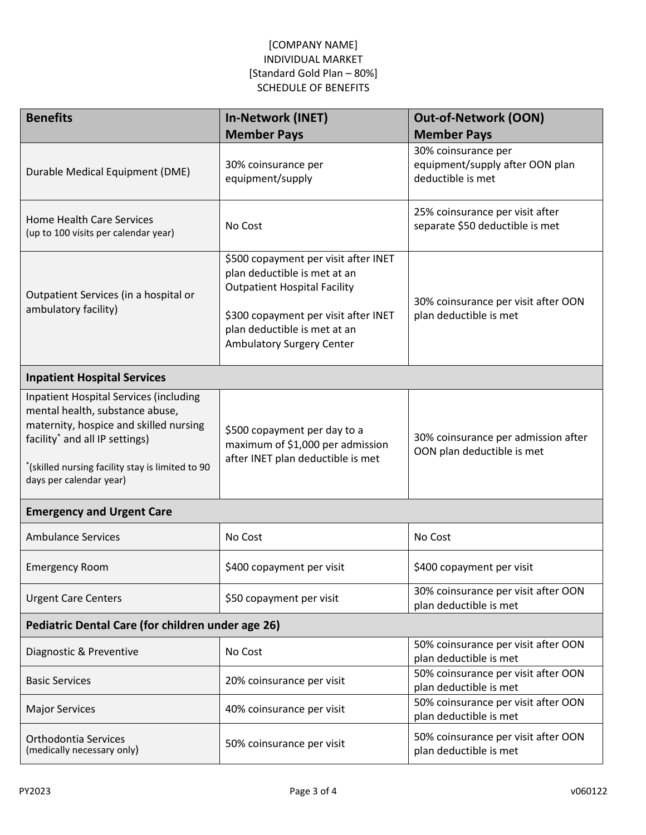| <b>Benefits</b>                                                                                                                                                                                                                                         | In-Network (INET)                                                                                                                                                                                                       | <b>Out-of-Network (OON)</b>                                                 |  |  |
|---------------------------------------------------------------------------------------------------------------------------------------------------------------------------------------------------------------------------------------------------------|-------------------------------------------------------------------------------------------------------------------------------------------------------------------------------------------------------------------------|-----------------------------------------------------------------------------|--|--|
|                                                                                                                                                                                                                                                         | <b>Member Pays</b>                                                                                                                                                                                                      | <b>Member Pays</b>                                                          |  |  |
| Durable Medical Equipment (DME)                                                                                                                                                                                                                         | 30% coinsurance per<br>equipment/supply                                                                                                                                                                                 | 30% coinsurance per<br>equipment/supply after OON plan<br>deductible is met |  |  |
| <b>Home Health Care Services</b><br>(up to 100 visits per calendar year)                                                                                                                                                                                | No Cost                                                                                                                                                                                                                 | 25% coinsurance per visit after<br>separate \$50 deductible is met          |  |  |
| Outpatient Services (in a hospital or<br>ambulatory facility)                                                                                                                                                                                           | \$500 copayment per visit after INET<br>plan deductible is met at an<br><b>Outpatient Hospital Facility</b><br>\$300 copayment per visit after INET<br>plan deductible is met at an<br><b>Ambulatory Surgery Center</b> | 30% coinsurance per visit after OON<br>plan deductible is met               |  |  |
| <b>Inpatient Hospital Services</b>                                                                                                                                                                                                                      |                                                                                                                                                                                                                         |                                                                             |  |  |
| <b>Inpatient Hospital Services (including</b><br>mental health, substance abuse,<br>maternity, hospice and skilled nursing<br>facility <sup>*</sup> and all IP settings)<br>"(skilled nursing facility stay is limited to 90<br>days per calendar year) | \$500 copayment per day to a<br>maximum of \$1,000 per admission<br>after INET plan deductible is met                                                                                                                   | 30% coinsurance per admission after<br>OON plan deductible is met           |  |  |
| <b>Emergency and Urgent Care</b>                                                                                                                                                                                                                        |                                                                                                                                                                                                                         |                                                                             |  |  |
| <b>Ambulance Services</b>                                                                                                                                                                                                                               | No Cost                                                                                                                                                                                                                 | No Cost                                                                     |  |  |
| <b>Emergency Room</b>                                                                                                                                                                                                                                   | \$400 copayment per visit                                                                                                                                                                                               | \$400 copayment per visit                                                   |  |  |
| <b>Urgent Care Centers</b>                                                                                                                                                                                                                              | \$50 copayment per visit                                                                                                                                                                                                | 30% coinsurance per visit after OON<br>plan deductible is met               |  |  |
| Pediatric Dental Care (for children under age 26)                                                                                                                                                                                                       |                                                                                                                                                                                                                         |                                                                             |  |  |
| Diagnostic & Preventive                                                                                                                                                                                                                                 | No Cost                                                                                                                                                                                                                 | 50% coinsurance per visit after OON<br>plan deductible is met               |  |  |
| <b>Basic Services</b>                                                                                                                                                                                                                                   | 20% coinsurance per visit                                                                                                                                                                                               | 50% coinsurance per visit after OON<br>plan deductible is met               |  |  |
| <b>Major Services</b>                                                                                                                                                                                                                                   | 40% coinsurance per visit                                                                                                                                                                                               | 50% coinsurance per visit after OON<br>plan deductible is met               |  |  |
| Orthodontia Services<br>(medically necessary only)                                                                                                                                                                                                      | 50% coinsurance per visit                                                                                                                                                                                               | 50% coinsurance per visit after OON<br>plan deductible is met               |  |  |